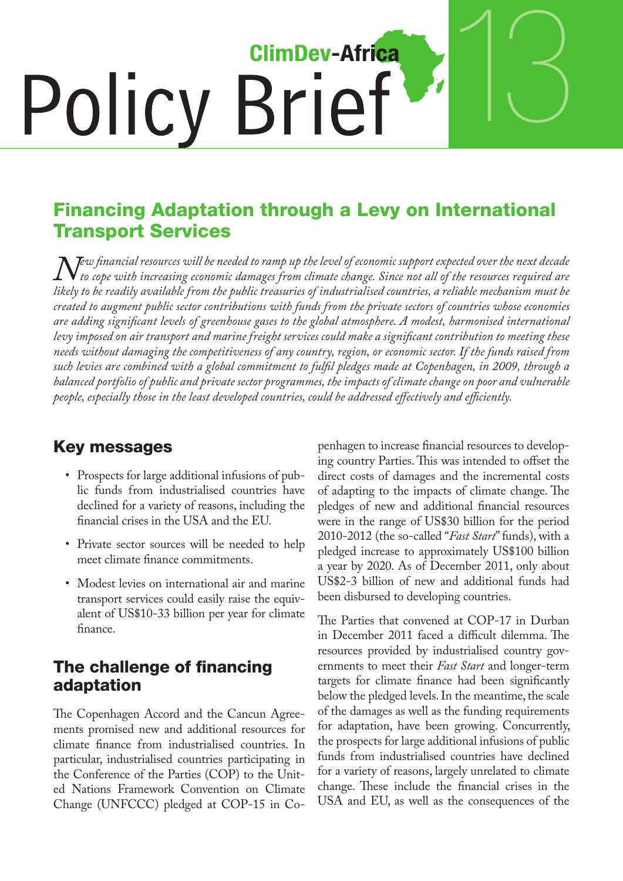# 13 **ClimDev-Africa Policy Brief**

## Financing Adaptation through a Levy on International Transport Services

 $N$ ew financial resources will be needed to ramp up the level of economic support expected over the next decade<br>In to cope with increasing economic damages from climate change. Since not all of the resources required are<br>l *to cope with increasing economic damages from climate change. Since not all of the resources required are likely to be readily available from the public treasuries of industrialised countries, a reliable mechanism must be created to augment public sector contributions with funds from the private sectors of countries whose economies are adding significant levels of greenhouse gases to the global atmosphere. A modest, harmonised international levy imposed on air transport and marine freight services could make a significant contribution to meeting these needs without damaging the competitiveness of any country, region, or economic sector. If the funds raised from such levies are combined with a global commitment to fulfil pledges made at Copenhagen, in 2009, through a balanced portfolio of public and private sector programmes, the impacts of climate change on poor and vulnerable people, especially those in the least developed countries, could be addressed effectively and efficiently.* 

## Key messages

- Prospects for large additional infusions of public funds from industrialised countries have declined for a variety of reasons, including the financial crises in the USA and the EU.
- Private sector sources will be needed to help meet climate finance commitments.
- Modest levies on international air and marine transport services could easily raise the equivalent of US\$10-33 billion per year for climate finance.

#### The challenge of financing adaptation

The Copenhagen Accord and the Cancun Agreements promised new and additional resources for climate finance from industrialised countries. In particular, industrialised countries participating in the Conference of the Parties (COP) to the United Nations Framework Convention on Climate Change (UNFCCC) pledged at COP-15 in Copenhagen to increase financial resources to developing country Parties.This was intended to offset the direct costs of damages and the incremental costs of adapting to the impacts of climate change. The pledges of new and additional financial resources were in the range of US\$30 billion for the period 2010-2012 (the so-called "*Fast Start*"funds), with a pledged increase to approximately US\$100 billion a year by 2020. As of December 2011, only about US\$2-3 billion of new and additional funds had been disbursed to developing countries.

The Parties that convened at COP-17 in Durban in December 2011 faced a difficult dilemma. The resources provided by industrialised country governments to meet their *Fast Start* and longer-term targets for climate finance had been significantly below the pledged levels. In the meantime, the scale of the damages as well as the funding requirements for adaptation, have been growing. Concurrently, the prospects for large additional infusions of public funds from industrialised countries have declined for a variety of reasons, largely unrelated to climate change. These include the financial crises in the USA and EU, as well as the consequences of the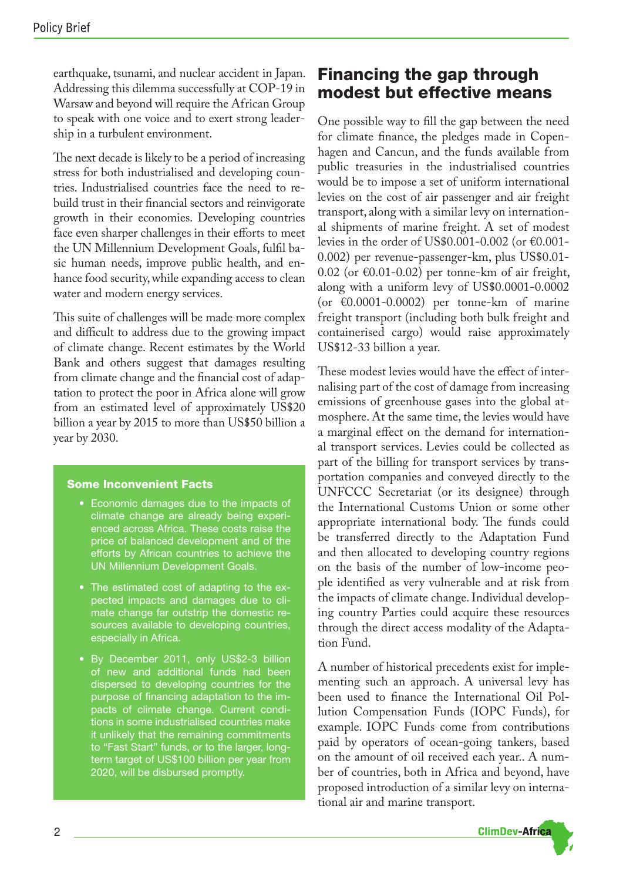earthquake, tsunami, and nuclear accident in Japan. Addressing this dilemma successfully at COP-19 in Warsaw and beyond will require the African Group to speak with one voice and to exert strong leadership in a turbulent environment.

The next decade is likely to be a period of increasing stress for both industrialised and developing countries. Industrialised countries face the need to rebuild trust in their financial sectors and reinvigorate growth in their economies. Developing countries face even sharper challenges in their efforts to meet the UN Millennium Development Goals, fulfil basic human needs, improve public health, and enhance food security,while expanding access to clean water and modern energy services.

This suite of challenges will be made more complex and difficult to address due to the growing impact of climate change. Recent estimates by the World Bank and others suggest that damages resulting from climate change and the financial cost of adaptation to protect the poor in Africa alone will grow from an estimated level of approximately US\$20 billion a year by 2015 to more than US\$50 billion a year by 2030.

#### Some Inconvenient Facts

- • Economic damages due to the impacts of climate change are already being experienced across Africa. These costs raise the price of balanced development and of the efforts by African countries to achieve the UN Millennium Development Goals.
- The estimated cost of adapting to the expected impacts and damages due to climate change far outstrip the domestic resources available to developing countries, especially in Africa.
- • By December 2011, only US\$2-3 billion of new and additional funds had been dispersed to developing countries for the purpose of financing adaptation to the impacts of climate change. Current conditions in some industrialised countries make it unlikely that the remaining commitments to "Fast Start" funds, or to the larger, longterm target of US\$100 billion per year from 2020, will be disbursed promptly.

## Financing the gap through modest but effective means

One possible way to fill the gap between the need for climate finance, the pledges made in Copenhagen and Cancun, and the funds available from public treasuries in the industrialised countries would be to impose a set of uniform international levies on the cost of air passenger and air freight transport, along with a similar levy on international shipments of marine freight. A set of modest levies in the order of US\$0.001-0.002 (or  $€0.001$ -0.002) per revenue-passenger-km, plus US\$0.01- 0.02 (or  $\epsilon$ 0.01-0.02) per tonne-km of air freight, along with a uniform levy of US\$0.0001-0.0002 (or  $\epsilon$ 0.0001-0.0002) per tonne-km of marine freight transport (including both bulk freight and containerised cargo) would raise approximately US\$12-33 billion a year.

These modest levies would have the effect of internalising part of the cost of damage from increasing emissions of greenhouse gases into the global atmosphere. At the same time, the levies would have a marginal effect on the demand for international transport services. Levies could be collected as part of the billing for transport services by transportation companies and conveyed directly to the UNFCCC Secretariat (or its designee) through the International Customs Union or some other appropriate international body. The funds could be transferred directly to the Adaptation Fund and then allocated to developing country regions on the basis of the number of low-income people identified as very vulnerable and at risk from the impacts of climate change.Individual developing country Parties could acquire these resources through the direct access modality of the Adaptation Fund.

A number of historical precedents exist for implementing such an approach. A universal levy has been used to finance the International Oil Pollution Compensation Funds (IOPC Funds), for example. IOPC Funds come from contributions paid by operators of ocean-going tankers, based on the amount of oil received each year.. A number of countries, both in Africa and beyond, have proposed introduction of a similar levy on international air and marine transport.

**ClimDev-Africa**